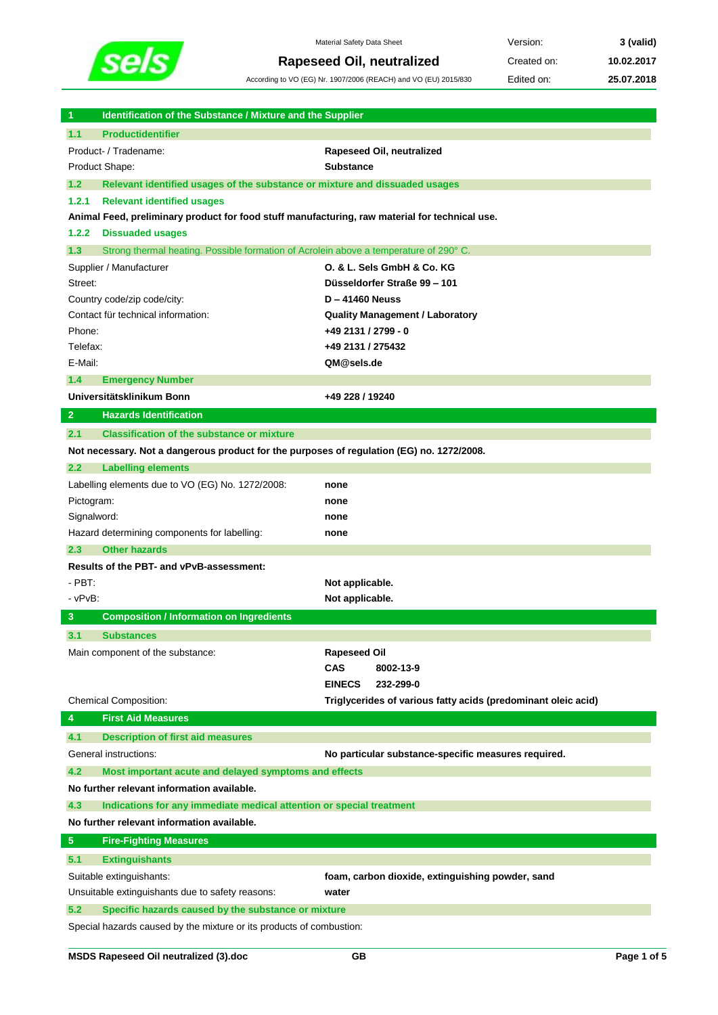

Material Safety Data Sheet **Version: 3** (valid) **Rapeseed Oil, neutralized** Created on: 10.02.2017

According to VO (EG) Nr. 1907/2006 (REACH) and VO (EU) 2015/830 Edited on: **25.07.2018**

| 1                                                | Identification of the Substance / Mixture and the Supplier                                     |                                                               |  |  |
|--------------------------------------------------|------------------------------------------------------------------------------------------------|---------------------------------------------------------------|--|--|
| 1.1                                              | <b>Productidentifier</b>                                                                       |                                                               |  |  |
|                                                  | Product- / Tradename:                                                                          | Rapeseed Oil, neutralized                                     |  |  |
|                                                  | Product Shape:                                                                                 | <b>Substance</b>                                              |  |  |
| 1.2                                              | Relevant identified usages of the substance or mixture and dissuaded usages                    |                                                               |  |  |
| 1.2.1                                            | <b>Relevant identified usages</b>                                                              |                                                               |  |  |
|                                                  | Animal Feed, preliminary product for food stuff manufacturing, raw material for technical use. |                                                               |  |  |
| 1.2.2                                            | <b>Dissuaded usages</b>                                                                        |                                                               |  |  |
| 1.3                                              | Strong thermal heating. Possible formation of Acrolein above a temperature of 290° C.          |                                                               |  |  |
|                                                  | Supplier / Manufacturer                                                                        | O. & L. Sels GmbH & Co. KG                                    |  |  |
| Street:                                          |                                                                                                | Düsseldorfer Straße 99 - 101                                  |  |  |
|                                                  | Country code/zip code/city:                                                                    | <b>D-41460 Neuss</b>                                          |  |  |
|                                                  | Contact für technical information:                                                             | <b>Quality Management / Laboratory</b>                        |  |  |
| Phone:                                           |                                                                                                | +49 2131 / 2799 - 0                                           |  |  |
| Telefax:                                         |                                                                                                | +49 2131 / 275432                                             |  |  |
| E-Mail:                                          |                                                                                                | QM@sels.de                                                    |  |  |
| 1.4                                              | <b>Emergency Number</b>                                                                        |                                                               |  |  |
|                                                  | Universitätsklinikum Bonn                                                                      | +49 228 / 19240                                               |  |  |
| $\overline{2}$                                   | <b>Hazards Identification</b>                                                                  |                                                               |  |  |
| 2.1                                              | <b>Classification of the substance or mixture</b>                                              |                                                               |  |  |
|                                                  | Not necessary. Not a dangerous product for the purposes of regulation (EG) no. 1272/2008.      |                                                               |  |  |
| 2.2                                              | <b>Labelling elements</b>                                                                      |                                                               |  |  |
|                                                  | Labelling elements due to VO (EG) No. 1272/2008:                                               | none                                                          |  |  |
| Pictogram:                                       |                                                                                                | none                                                          |  |  |
| Signalword:                                      |                                                                                                | none                                                          |  |  |
|                                                  | Hazard determining components for labelling:                                                   | none                                                          |  |  |
| 2.3                                              | <b>Other hazards</b>                                                                           |                                                               |  |  |
|                                                  | Results of the PBT- and vPvB-assessment:                                                       |                                                               |  |  |
| $-$ PBT:                                         |                                                                                                | Not applicable.                                               |  |  |
| - vPvB:                                          |                                                                                                | Not applicable.                                               |  |  |
| 3                                                | <b>Composition / Information on Ingredients</b>                                                |                                                               |  |  |
| 3.1                                              | <b>Substances</b>                                                                              |                                                               |  |  |
|                                                  | Main component of the substance:                                                               | <b>Rapeseed Oil</b>                                           |  |  |
|                                                  |                                                                                                | <b>CAS</b><br>8002-13-9                                       |  |  |
|                                                  |                                                                                                | <b>EINECS</b><br>232-299-0                                    |  |  |
|                                                  | <b>Chemical Composition:</b>                                                                   | Triglycerides of various fatty acids (predominant oleic acid) |  |  |
| 4                                                | <b>First Aid Measures</b>                                                                      |                                                               |  |  |
| 4.1                                              | <b>Description of first aid measures</b>                                                       |                                                               |  |  |
|                                                  | General instructions:                                                                          | No particular substance-specific measures required.           |  |  |
| 4.2                                              | Most important acute and delayed symptoms and effects                                          |                                                               |  |  |
|                                                  | No further relevant information available.                                                     |                                                               |  |  |
| 4.3                                              | Indications for any immediate medical attention or special treatment                           |                                                               |  |  |
|                                                  | No further relevant information available.                                                     |                                                               |  |  |
| 5 <sub>5</sub>                                   | <b>Fire-Fighting Measures</b>                                                                  |                                                               |  |  |
| 5.1                                              | <b>Extinguishants</b>                                                                          |                                                               |  |  |
|                                                  | Suitable extinguishants:                                                                       | foam, carbon dioxide, extinguishing powder, sand              |  |  |
| Unsuitable extinguishants due to safety reasons: |                                                                                                | water                                                         |  |  |
| 5.2                                              | Specific hazards caused by the substance or mixture                                            |                                                               |  |  |
|                                                  | Special hazards caused by the mixture or its products of combustion:                           |                                                               |  |  |

I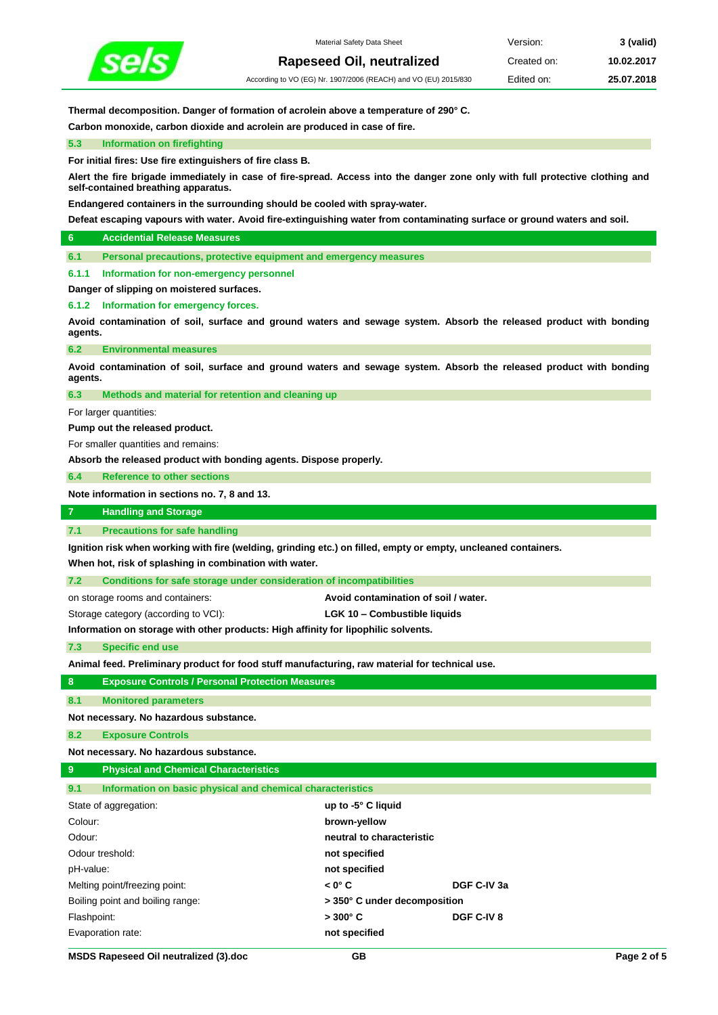

**Thermal decomposition. Danger of formation of acrolein above a temperature of 290° C.**

**Carbon monoxide, carbon dioxide and acrolein are produced in case of fire.**

**5.3 Information on firefighting**

**For initial fires: Use fire extinguishers of fire class B.**

**Alert the fire brigade immediately in case of fire-spread. Access into the danger zone only with full protective clothing and self-contained breathing apparatus.** 

**Endangered containers in the surrounding should be cooled with spray-water.**

**Defeat escaping vapours with water. Avoid fire-extinguishing water from contaminating surface or ground waters and soil.**

**6 Accidential Release Measures**

**6.1 Personal precautions, protective equipment and emergency measures**

**6.1.1 Information for non-emergency personnel**

**Danger of slipping on moistered surfaces.**

**6.1.2 Information for emergency forces.**

**Avoid contamination of soil, surface and ground waters and sewage system. Absorb the released product with bonding agents.**

**6.2 Environmental measures**

**Avoid contamination of soil, surface and ground waters and sewage system. Absorb the released product with bonding agents.**

**6.3 Methods and material for retention and cleaning up**

For larger quantities:

**Pump out the released product.**

For smaller quantities and remains:

**Absorb the released product with bonding agents. Dispose properly.**

**6.4 Reference to other sections**

**Note information in sections no. 7, 8 and 13.**

**7 Handling and Storage**

**7.1 Precautions for safe handling**

**Ignition risk when working with fire (welding, grinding etc.) on filled, empty or empty, uncleaned containers.**

**When hot, risk of splashing in combination with water.**

**7.2 Conditions for safe storage under consideration of incompatibilities**

on storage rooms and containers: **Avoid contamination of soil / water.**

Storage category (according to VCI): **LGK 10 – Combustible liquids**

**Information on storage with other products: High affinity for lipophilic solvents.**

**7.3 Specific end use**

**Animal feed. Preliminary product for food stuff manufacturing, raw material for technical use.**

|  |  | <b>Exposure Controls / Personal Protection Measures</b> |  |
|--|--|---------------------------------------------------------|--|
|  |  |                                                         |  |

**8.1 Monitored parameters**

**Not necessary. No hazardous substance. 8.2 Exposure Controls**

**Not necessary. No hazardous substance.**

| <b>Physical and Chemical Characteristics</b><br>9                 |                              |             |
|-------------------------------------------------------------------|------------------------------|-------------|
| 9.1<br>Information on basic physical and chemical characteristics |                              |             |
| State of aggregation:                                             | up to $-5^\circ$ C liquid    |             |
| Colour:                                                           | brown-yellow                 |             |
| Odour:                                                            | neutral to characteristic    |             |
| Odour treshold:                                                   | not specified                |             |
| pH-value:                                                         | not specified                |             |
| Melting point/freezing point:                                     | $< 0^\circ C$                | DGF C-IV 3a |
| Boiling point and boiling range:                                  | > 350° C under decomposition |             |
| Flashpoint:                                                       | $>300^{\circ}$ C             | DGF C-IV 8  |
| Evaporation rate:                                                 | not specified                |             |
|                                                                   |                              |             |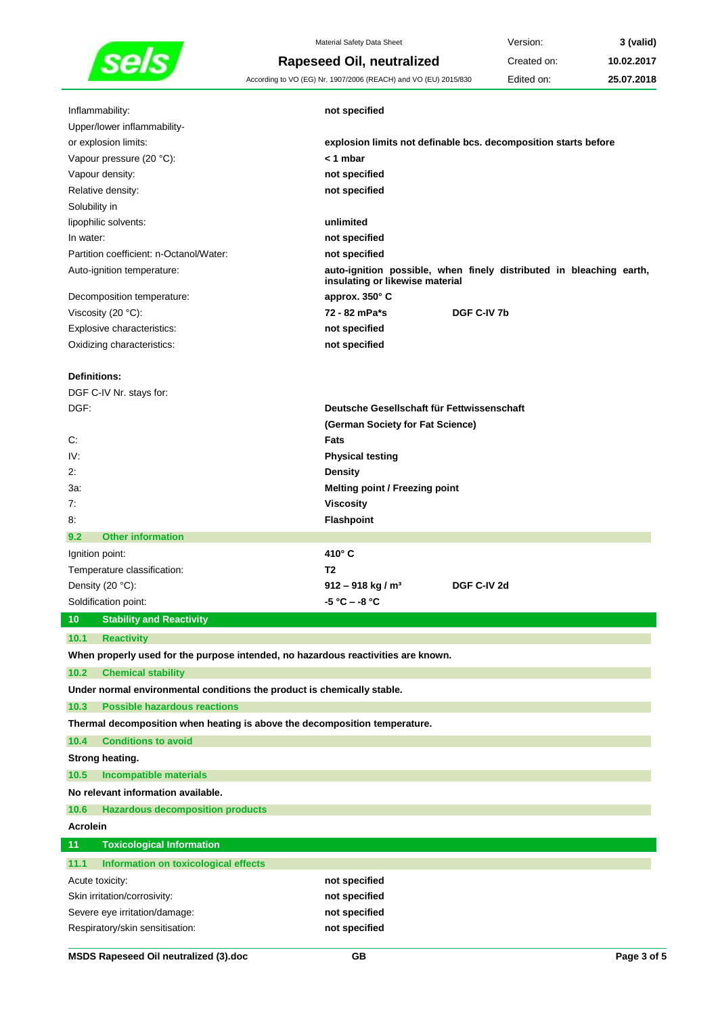

Material Safety Data Sheet **Version: 3** (valid) **Rapeseed Oil, neutralized** Created on: 10.02.2017

According to VO (EG) Nr. 1907/2006 (REACH) and VO (EU) 2015/830 Edited on: **25.07.2018**

| Inflammability:                                                                   | not specified                                                                                          |
|-----------------------------------------------------------------------------------|--------------------------------------------------------------------------------------------------------|
| Upper/lower inflammability-                                                       |                                                                                                        |
| or explosion limits:                                                              | explosion limits not definable bcs. decomposition starts before                                        |
| Vapour pressure (20 °C):                                                          | < 1 mbar                                                                                               |
| Vapour density:                                                                   | not specified                                                                                          |
| Relative density:                                                                 | not specified                                                                                          |
| Solubility in                                                                     |                                                                                                        |
| lipophilic solvents:                                                              | unlimited                                                                                              |
| In water:                                                                         | not specified                                                                                          |
| Partition coefficient: n-Octanol/Water:                                           | not specified                                                                                          |
| Auto-ignition temperature:                                                        | auto-ignition possible, when finely distributed in bleaching earth,<br>insulating or likewise material |
| Decomposition temperature:                                                        | approx. 350° C                                                                                         |
| Viscosity $(20 °C)$ :                                                             | 72 - 82 mPa*s<br>DGF C-IV 7b                                                                           |
| Explosive characteristics:                                                        | not specified                                                                                          |
| Oxidizing characteristics:                                                        | not specified                                                                                          |
|                                                                                   |                                                                                                        |
| <b>Definitions:</b>                                                               |                                                                                                        |
| DGF C-IV Nr. stays for:                                                           |                                                                                                        |
| DGF:                                                                              | Deutsche Gesellschaft für Fettwissenschaft                                                             |
|                                                                                   | (German Society for Fat Science)                                                                       |
| C:                                                                                | <b>Fats</b>                                                                                            |
| IV:                                                                               | <b>Physical testing</b>                                                                                |
| 2:                                                                                | <b>Density</b>                                                                                         |
| 3а:                                                                               | <b>Melting point / Freezing point</b>                                                                  |
| 7:                                                                                | <b>Viscosity</b>                                                                                       |
| 8.                                                                                | <b>Flashpoint</b>                                                                                      |
| <b>Other information</b><br>9.2                                                   |                                                                                                        |
| Ignition point:                                                                   | 410° C                                                                                                 |
| Temperature classification:                                                       | T <sub>2</sub>                                                                                         |
| Density (20 °C):                                                                  | DGF C-IV 2d<br>$912 - 918$ kg / m <sup>3</sup>                                                         |
| Soldification point:                                                              | -5 °C – -8 °C                                                                                          |
| <b>Stability and Reactivity</b><br>10                                             |                                                                                                        |
| 10.1 Reactivity                                                                   |                                                                                                        |
| When properly used for the purpose intended, no hazardous reactivities are known. |                                                                                                        |
| 10.2<br><b>Chemical stability</b>                                                 |                                                                                                        |
| Under normal environmental conditions the product is chemically stable.           |                                                                                                        |
| <b>Possible hazardous reactions</b><br>10.3                                       |                                                                                                        |
| Thermal decomposition when heating is above the decomposition temperature.        |                                                                                                        |
| <b>Conditions to avoid</b><br>10.4                                                |                                                                                                        |
|                                                                                   |                                                                                                        |
| Strong heating.                                                                   |                                                                                                        |
| <b>Incompatible materials</b><br>10.5<br>No relevant information available.       |                                                                                                        |
|                                                                                   |                                                                                                        |
| 10.6<br><b>Hazardous decomposition products</b>                                   |                                                                                                        |
| <b>Acrolein</b>                                                                   |                                                                                                        |
| <b>Toxicological Information</b><br>11                                            |                                                                                                        |
| Information on toxicological effects<br>11.1                                      |                                                                                                        |
|                                                                                   |                                                                                                        |
| Acute toxicity:                                                                   | not specified                                                                                          |
| Skin irritation/corrosivity:                                                      | not specified<br>not specified                                                                         |

Respiratory/skin sensitisation: **not specified**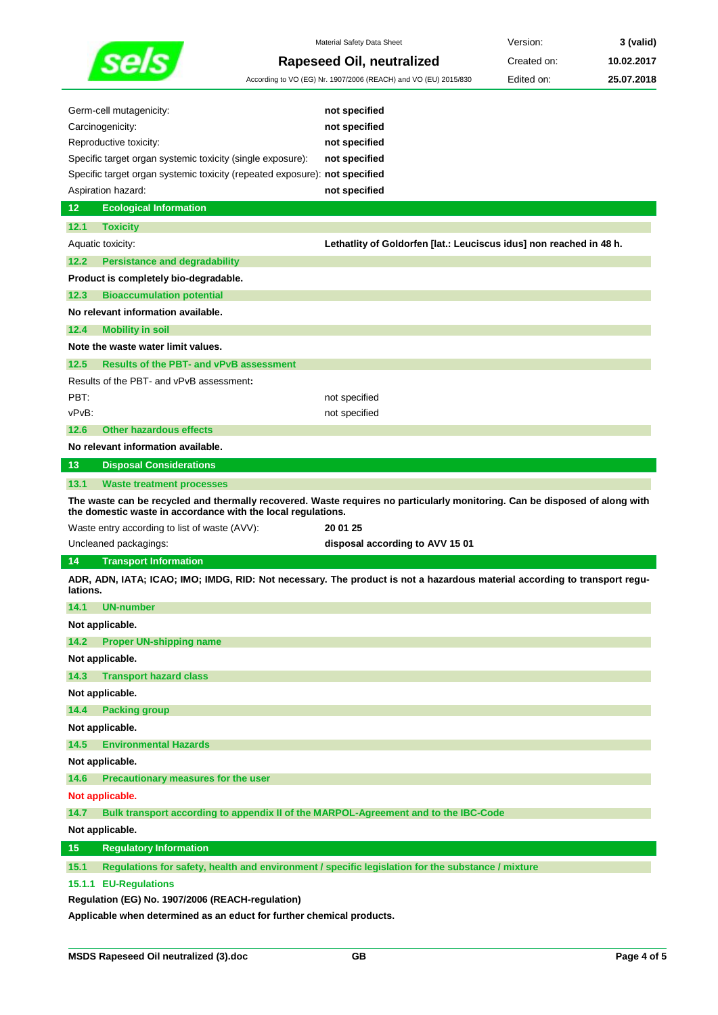

| Germ-cell mutagenicity:<br>Carcinogenicity:                                                 | not specified<br>not specified                                                                                              |
|---------------------------------------------------------------------------------------------|-----------------------------------------------------------------------------------------------------------------------------|
| Reproductive toxicity:                                                                      | not specified                                                                                                               |
| Specific target organ systemic toxicity (single exposure):                                  | not specified                                                                                                               |
| Specific target organ systemic toxicity (repeated exposure): not specified                  |                                                                                                                             |
| Aspiration hazard:                                                                          | not specified                                                                                                               |
| 12<br><b>Ecological Information</b>                                                         |                                                                                                                             |
| 12.1<br><b>Toxicity</b>                                                                     |                                                                                                                             |
| Aquatic toxicity:                                                                           | Lethatlity of Goldorfen [lat.: Leuciscus idus] non reached in 48 h.                                                         |
| 12.2<br><b>Persistance and degradability</b>                                                |                                                                                                                             |
| Product is completely bio-degradable.                                                       |                                                                                                                             |
| 12.3<br><b>Bioaccumulation potential</b>                                                    |                                                                                                                             |
| No relevant information available.                                                          |                                                                                                                             |
| 12.4<br><b>Mobility in soil</b>                                                             |                                                                                                                             |
| Note the waste water limit values.                                                          |                                                                                                                             |
| <b>Results of the PBT- and vPvB assessment</b><br>12.5                                      |                                                                                                                             |
| Results of the PBT- and vPvB assessment:                                                    |                                                                                                                             |
| PBT:                                                                                        | not specified                                                                                                               |
| vPvB:                                                                                       | not specified                                                                                                               |
| <b>Other hazardous effects</b><br>12.6                                                      |                                                                                                                             |
| No relevant information available.                                                          |                                                                                                                             |
| 13<br><b>Disposal Considerations</b>                                                        |                                                                                                                             |
| 13.1<br><b>Waste treatment processes</b>                                                    |                                                                                                                             |
|                                                                                             |                                                                                                                             |
| the domestic waste in accordance with the local regulations.                                | The waste can be recycled and thermally recovered. Waste requires no particularly monitoring. Can be disposed of along with |
| Waste entry according to list of waste (AVV):                                               | 20 01 25                                                                                                                    |
| Uncleaned packagings:                                                                       | disposal according to AVV 15 01                                                                                             |
| 14<br><b>Transport Information</b>                                                          |                                                                                                                             |
| lations.                                                                                    | ADR, ADN, IATA; ICAO; IMO; IMDG, RID: Not necessary. The product is not a hazardous material according to transport regu-   |
| 14.1<br>UN-number                                                                           |                                                                                                                             |
| Not applicable.                                                                             |                                                                                                                             |
| 14.2<br><b>Proper UN-shipping name</b>                                                      |                                                                                                                             |
| Not applicable.                                                                             |                                                                                                                             |
| 14.3<br><b>Transport hazard class</b>                                                       |                                                                                                                             |
| Not applicable.                                                                             |                                                                                                                             |
| 14.4<br><b>Packing group</b>                                                                |                                                                                                                             |
| Not applicable.                                                                             |                                                                                                                             |
| 14.5<br><b>Environmental Hazards</b>                                                        |                                                                                                                             |
| Not applicable.                                                                             |                                                                                                                             |
| 14.6<br>Precautionary measures for the user                                                 |                                                                                                                             |
| Not applicable.                                                                             |                                                                                                                             |
| 14.7<br>Bulk transport according to appendix II of the MARPOL-Agreement and to the IBC-Code |                                                                                                                             |
| Not applicable.                                                                             |                                                                                                                             |
| 15<br><b>Regulatory Information</b>                                                         |                                                                                                                             |

## **15.1.1 EU-Regulations**

**Regulation (EG) No. 1907/2006 (REACH-regulation)**

**Applicable when determined as an educt for further chemical products.**